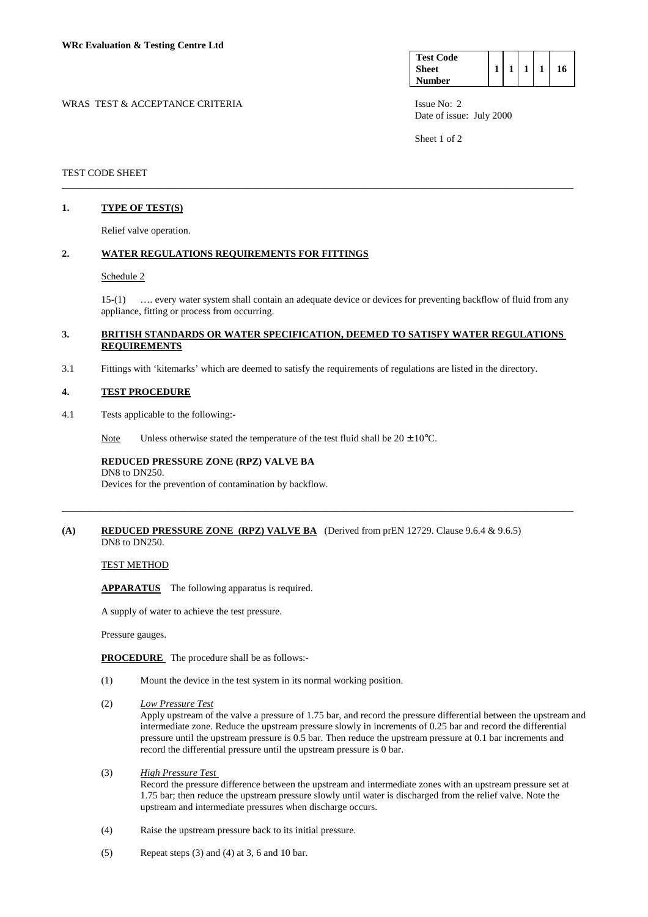| <b>Test Code</b> |  |  |    |
|------------------|--|--|----|
| <b>Sheet</b>     |  |  | 16 |
| <b>Number</b>    |  |  |    |

WRAS TEST & ACCEPTANCE CRITERIA ISSUE No: 2 Date of issue: July 2000

Sheet 1 of 2

## TEST CODE SHEET

# **1. TYPE OF TEST(S)**

Relief valve operation.

### **2. WATER REGULATIONS REQUIREMENTS FOR FITTINGS**

### Schedule 2

 15-(1) …. every water system shall contain an adequate device or devices for preventing backflow of fluid from any appliance, fitting or process from occurring.

## **3. BRITISH STANDARDS OR WATER SPECIFICATION, DEEMED TO SATISFY WATER REGULATIONS REQUIREMENTS**

\_\_\_\_\_\_\_\_\_\_\_\_\_\_\_\_\_\_\_\_\_\_\_\_\_\_\_\_\_\_\_\_\_\_\_\_\_\_\_\_\_\_\_\_\_\_\_\_\_\_\_\_\_\_\_\_\_\_\_\_\_\_\_\_\_\_\_\_\_\_\_\_\_\_\_\_\_\_\_\_\_\_\_\_\_\_\_\_\_\_\_\_\_\_\_\_\_\_\_\_\_\_\_

3.1 Fittings with 'kitemarks' which are deemed to satisfy the requirements of regulations are listed in the directory.

### **4. TEST PROCEDURE**

4.1 Tests applicable to the following:-

Note Unless otherwise stated the temperature of the test fluid shall be  $20 \pm 10^{\circ}$ C.

# **REDUCED PRESSURE ZONE (RPZ) VALVE BA**

 DN8 to DN250. Devices for the prevention of contamination by backflow.

### **(A) REDUCED PRESSURE ZONE (RPZ) VALVE BA** (Derived from prEN 12729. Clause 9.6.4 & 9.6.5) DN8 to DN250.

\_\_\_\_\_\_\_\_\_\_\_\_\_\_\_\_\_\_\_\_\_\_\_\_\_\_\_\_\_\_\_\_\_\_\_\_\_\_\_\_\_\_\_\_\_\_\_\_\_\_\_\_\_\_\_\_\_\_\_\_\_\_\_\_\_\_\_\_\_\_\_\_\_\_\_\_\_\_\_\_\_\_\_\_\_\_\_\_\_\_\_\_\_\_\_\_\_\_\_\_\_\_\_

### TEST METHOD

 **APPARATUS** The following apparatus is required.

A supply of water to achieve the test pressure.

Pressure gauges.

**PROCEDURE** The procedure shall be as follows:-

- (1) Mount the device in the test system in its normal working position.
- (2) *Low Pressure Test*

 Apply upstream of the valve a pressure of 1.75 bar, and record the pressure differential between the upstream and intermediate zone. Reduce the upstream pressure slowly in increments of 0.25 bar and record the differential pressure until the upstream pressure is 0.5 bar. Then reduce the upstream pressure at 0.1 bar increments and record the differential pressure until the upstream pressure is 0 bar.

### (3) *High Pressure Test*

 Record the pressure difference between the upstream and intermediate zones with an upstream pressure set at 1.75 bar; then reduce the upstream pressure slowly until water is discharged from the relief valve. Note the upstream and intermediate pressures when discharge occurs.

- (4) Raise the upstream pressure back to its initial pressure.
- $(5)$  Repeat steps  $(3)$  and  $(4)$  at 3, 6 and 10 bar.